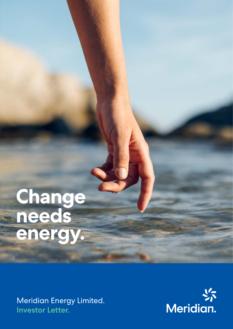# **Change needs energy.**

Meridian Energy Limited. Investor Letter.

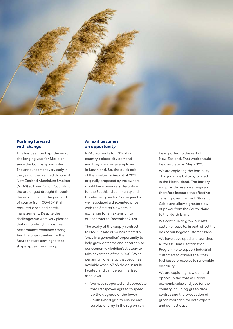

### **Pushing forward with change**

This has been perhaps the most challenging year for Meridian since the Company was listed. The announcement very early in the year of the planned closure of New Zealand Aluminium Smelters (NZAS) at Tiwai Point in Southland, the prolonged drought through the second half of the year and of course from COVID-19, all required close and careful management. Despite the challenges we were very pleased that our underlying business performance remained strong. And the opportunities for the future that are starting to take shape appear promising.

# **An exit becomes an opportunity**

NZAS accounts for 13% of our country's electricity demand and they are a large employer in Southland. So, the quick exit of the smelter by August of 2021, originally proposed by the owners, would have been very disruptive for the Southland community and the electricity sector. Consequently, we negotiated a discounted price with the Smelter's owners in exchange for an extension to our contract to December 2024.

The expiry of the supply contract to NZAS in late 2024 has created a 'once in a generation' opportunity to help grow Aotearoa and decarbonise our economy. Meridian's strategy to take advantage of the 5,000 GWhs per annum of energy that becomes available when NZAS closes, is multifaceted and can be summarised as follows:

We have supported and appreciate that Transpower agreed to speed up the upgrade of the lower South Island grid to ensure any surplus energy in the region can

be exported to the rest of New Zealand. That work should be complete by May 2022.

- We are exploring the feasibility of a grid scale battery, located in the North Island. The battery will provide reserve energy and therefore increase the effective capacity over the Cook Straight Cable and allow a greater flow of power from the South Island to the North Island.
- We continue to grow our retail customer base to, in part, offset the loss of our largest customer, NZAS.
- We have developed and launched a Process Heat Electrification Programme to support industrial customers to convert their fossil fuel based processes to renewable electricity.
- We are exploring new demand opportunities that will grow economic value and jobs for the country including green data centres and the production of green hydrogen for both export and domestic use.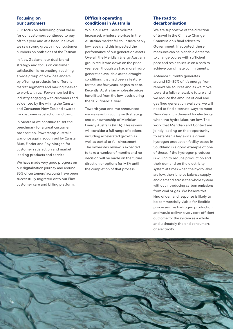# **Focusing on our customers**

Our focus on delivering great value for our customers continued to pay off this year and at a headline level we saw strong growth in our customer numbers on both sides of the Tasman.

In New Zealand, our dual brand strategy and focus on customer satisfaction is resonating, reaching a wide group of New Zealanders by offering products for different market segments and making it easier to work with us. Powershop led the industry engaging with customers and evidenced by the wining the Canstar and Consumer New Zealand awards for customer satisfaction and trust.

In Australia we continue to set the benchmark for a great customer proposition. Powershop Australia was once again recognised by Canstar Blue, Finder and Roy Morgan for customer satisfaction and market leading products and service.

We have made very good progress on our digitalisation journey and around 95% of customers' accounts have been successfully migrated onto our Flux customer care and billing platform.

# **Difficult operating conditions in Australia**

While our retail sales volume increased, wholesale prices in the Australian market fell to unsustainably low levels and this impacted the performance of our generation assets. Overall, the Meridian Energy Australia group result was down on the prior year even though we had more hydro generation available as the drought conditions, that had been a feature for the last few years, began to ease. Recently, Australian wholesale prices have lifted from the low levels during the 2021 financial year.

Towards year end, we announced we are revisiting our growth strategy and our ownership of Meridian Energy Australia (MEA). This review will consider a full range of options including accelerated growth as well as partial or full divestment. The ownership review is expected to take a number of months and no decision will be made on the future direction or options for MEA until the completion of that process.

# **The road to decarbonisation**

We are supportive of the direction of travel in the Climate Change Commission's final advice to Government. If adopted, these measures can help enable Aotearoa to change course with sufficient pace and scale to set us on a path to achieve our climate commitments.

Aotearoa currently generates around 80–85% of it's energy from renewable sources and as we move toward a fully renewable future and we reduce the amount of coal and gas fired generation available, we will need to find alternate ways to meet New Zealand's demand for electricity when the hydro lakes run low. The work that Meridian and Contact are jointly leading on the opportunity to establish a large-scale green hydrogen production facility based in Southland is a good example of one of these. If the hydrogen producer is willing to reduce production and their demand on the electricity system at times when the hydro lakes are low, then it helps balance supply and demand across the whole system without introducing carbon emissions from coal or gas. We believe this kind of demand response is likely to be commercially viable for flexible processes like hydrogen production and would deliver a very cost-efficient outcome for the system as a whole and ultimately the end consumers of electricity.

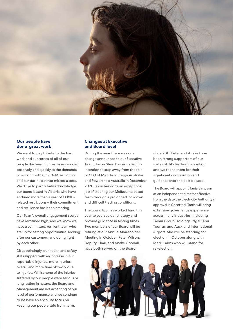

### **Our people have done great work**

We want to pay tribute to the hard work and successes of all of our people this year. Our teams responded positively and quickly to the demands of working with COVID-19 restriction and our business never missed a beat. We'd like to particularly acknowledge our teams based in Victoria who have endured more than a year of COVIDrelated restrictions – their commitment and resilience has been amazing.

Our Team's overall engagement scores have remained high, and we know we have a committed, resilient team who are up for seizing opportunities, looking after our customers, and doing right by each other.

Disappointingly, our health and safety stats slipped, with an increase in our reportable injuries, more injuries overall and more time off work due to injuries. Whilst none of the injuries suffered by our people were serious or long lasting in nature, the Board and Management are not accepting of our level of performance and we continue to be have an absolute focus on keeping our people safe from harm.

# **Changes at Executive and Board level**

During the year there was one change announced to our Executive Team. Jason Stein has signalled his intention to step away from the role of CEO of Meridian Energy Australia and Powershop Australia in December 2021. Jason has done an exceptional job of steering our Melbourne based team through a prolonged lockdown and difficult trading conditions.

The Board too has worked hard this year to oversee our strategy and provide guidance in testing times. Two members of our Board will be retiring at our Annual Shareholder Meeting in October. Peter Wilson, Deputy Chair, and Anake Goodall, have both served on the Board

since 2011. Peter and Anake have been strong supporters of our sustainability leadership position and we thank them for their significant contribution and guidance over the past decade.

The Board will appoint Tania Simpson as an independent director effective from the date the Electricity Authority's approval is Gazetted. Tania will bring extensive governance experience across many industries, including Tainui Group Holdings, Ngāi Tahu Tourism and Auckland International Airport. She will be standing for election in October along with Mark Cairns who will stand for re-election.

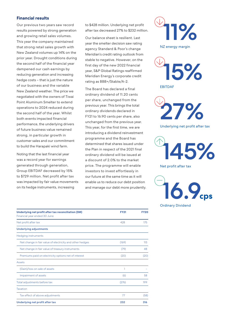## **Financial results**

Our previous two years saw record results powered by strong generation and growing retail sales volumes. This year the company maintained that strong retail sales growth with New Zealand volumes up 14% on the prior year. Drought conditions during the second half of the financial year dampened our cash earnings by reducing generation and increasing hedge costs – that is just the nature of our business and the variable New Zealand weather. The price we negotiated with the owners of Tiwai Point Aluminum Smelter to extend operations to 2024 reduced during the second half of the year. Whilst both events impacted financial performance, the underlying drivers of future business value remained strong, in particular growth in customer sales and our commitment to build the Harapaki wind farm.

Noting that the last financial year was a record year for earnings generated through generation, Group EBITDAF decreased by 15% to \$729 million. Net profit after tax was impacted by fair value movements on its hedge instruments, increasing

to \$428 million. Underlying net profit after tax decreased 27% to \$232 million.

Our balance sheet is resilient. Last year the smelter decision saw rating agency Standard & Poor's change Meridian's credit rating outlook from stable to negative. However, on the first day of the new 2022 financial year, S&P Global Ratings reaffirmed Meridian Energy's corporate credit rating as BBB+/Stable/A-2.

The Board has declared a final ordinary dividend of 11.20 cents per share, unchanged from the previous year. This brings the total ordinary dividends declared in FY21 to 16.90 cents per share, also unchanged from the previous year. This year, for the first time, we are introducing a dividend reinvestment programme and the Board has determined that shares issued under the Plan in respect of the 2021 final ordinary dividend will be issued at a discount of 2.0% to the market price. The programme will enable investors to invest effortlessly in our future at the same time as it will enable us to reduce our debt position and manage our debt more prudently.

| Underlying net profit after tax reconciliation (\$M)<br>Financial year ended 30 June | <b>FY21</b> | <b>FY20</b> |
|--------------------------------------------------------------------------------------|-------------|-------------|
| Net profit after tax                                                                 | 428         | 175         |
| <b>Underlying adjustments</b>                                                        |             |             |
| <b>Hedging instruments</b>                                                           |             |             |
| Net change in fair value of electricity and other hedges                             | (169)       | 113         |
| Net change in fair value of treasury instruments                                     | (79)        | 48          |
| Premiums paid on electricity options net of interest                                 | (20)        | (20)        |
| Assets                                                                               |             |             |
| (Gain)/loss on sale of assets                                                        | 1           |             |
| Impairment of assets                                                                 | (6)         | 58          |
| Total adjustments before tax                                                         | (276)       | 199         |
| Taxation                                                                             |             |             |
| Tax effect of above adjustments                                                      | 77          | (58)        |
| Underlying net profit after tax                                                      | 232         | 316         |





27%

Underlying net profit after tax

145%

Net profit after tax

16.9**cps** Ordinary Dividend